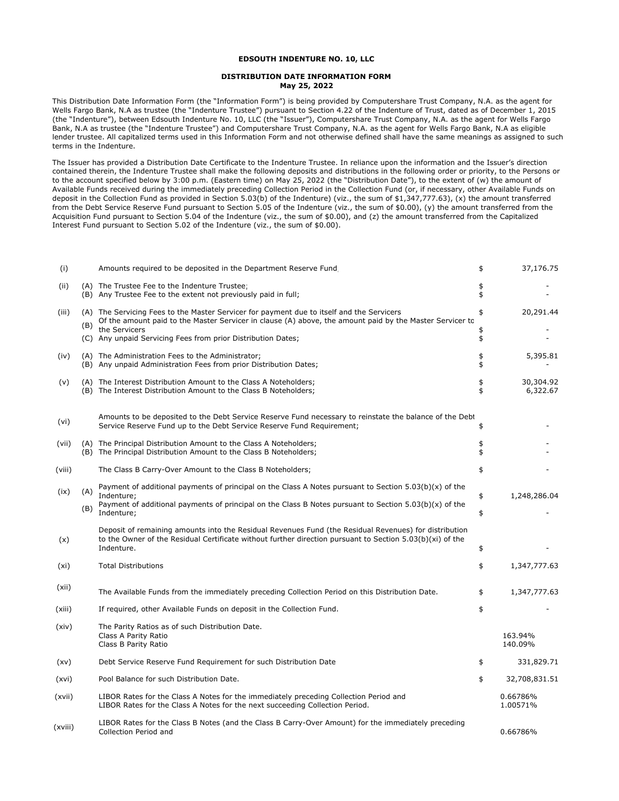## **EDSOUTH INDENTURE NO. 10, LLC**

## **DISTRIBUTION DATE INFORMATION FORM May 25, 2022**

This Distribution Date Information Form (the "Information Form") is being provided by Computershare Trust Company, N.A. as the agent for Wells Fargo Bank, N.A as trustee (the "Indenture Trustee") pursuant to Section 4.22 of the Indenture of Trust, dated as of December 1, 2015 (the "Indenture"), between Edsouth Indenture No. 10, LLC (the "Issuer"), Computershare Trust Company, N.A. as the agent for Wells Fargo Bank, N.A as trustee (the "Indenture Trustee") and Computershare Trust Company, N.A. as the agent for Wells Fargo Bank, N.A as eligible lender trustee. All capitalized terms used in this Information Form and not otherwise defined shall have the same meanings as assigned to such terms in the Indenture.

The Issuer has provided a Distribution Date Certificate to the Indenture Trustee. In reliance upon the information and the Issuer's direction contained therein, the Indenture Trustee shall make the following deposits and distributions in the following order or priority, to the Persons or to the account specified below by 3:00 p.m. (Eastern time) on May 25, 2022 (the "Distribution Date"), to the extent of (w) the amount of Available Funds received during the immediately preceding Collection Period in the Collection Fund (or, if necessary, other Available Funds on deposit in the Collection Fund as provided in Section 5.03(b) of the Indenture) (viz., the sum of \$1,347,777.63), (x) the amount transferred from the Debt Service Reserve Fund pursuant to Section 5.05 of the Indenture (viz., the sum of \$0.00), (y) the amount transferred from the Acquisition Fund pursuant to Section 5.04 of the Indenture (viz., the sum of \$0.00), and (z) the amount transferred from the Capitalized Interest Fund pursuant to Section 5.02 of the Indenture (viz., the sum of \$0.00).

| (i)     |     | Amounts required to be deposited in the Department Reserve Fund                                                                                                                                                                                  | \$       | 37,176.75             |
|---------|-----|--------------------------------------------------------------------------------------------------------------------------------------------------------------------------------------------------------------------------------------------------|----------|-----------------------|
| (ii)    |     | (A) The Trustee Fee to the Indenture Trustee<br>(B) Any Trustee Fee to the extent not previously paid in full;                                                                                                                                   | \$<br>\$ |                       |
| (iii)   | (B) | (A) The Servicing Fees to the Master Servicer for payment due to itself and the Servicers<br>Of the amount paid to the Master Servicer in clause (A) above, the amount paid by the Master Servicer to                                            | \$       | 20,291.44             |
|         |     | the Servicers<br>(C) Any unpaid Servicing Fees from prior Distribution Dates;                                                                                                                                                                    | \$<br>\$ |                       |
| (iv)    |     | (A) The Administration Fees to the Administrator;<br>(B) Any unpaid Administration Fees from prior Distribution Dates;                                                                                                                           | \$<br>\$ | 5,395.81              |
| (v)     |     | (A) The Interest Distribution Amount to the Class A Noteholders;<br>(B) The Interest Distribution Amount to the Class B Noteholders;                                                                                                             | \$<br>\$ | 30,304.92<br>6,322.67 |
| (vi)    |     | Amounts to be deposited to the Debt Service Reserve Fund necessary to reinstate the balance of the Debt<br>Service Reserve Fund up to the Debt Service Reserve Fund Requirement;                                                                 | \$       |                       |
| (vii)   |     | (A) The Principal Distribution Amount to the Class A Noteholders;<br>(B) The Principal Distribution Amount to the Class B Noteholders;                                                                                                           | \$<br>\$ |                       |
| (viii)  |     | The Class B Carry-Over Amount to the Class B Noteholders;                                                                                                                                                                                        | \$       |                       |
| (ix)    | (A) | Payment of additional payments of principal on the Class A Notes pursuant to Section $5.03(b)(x)$ of the<br>Indenture:<br>Payment of additional payments of principal on the Class B Notes pursuant to Section $5.03(b)(x)$ of the<br>Indenture; | \$       | 1,248,286.04          |
|         | (B) |                                                                                                                                                                                                                                                  | \$       |                       |
| (x)     |     | Deposit of remaining amounts into the Residual Revenues Fund (the Residual Revenues) for distribution<br>to the Owner of the Residual Certificate without further direction pursuant to Section 5.03(b)(xi) of the<br>Indenture.                 | \$       |                       |
| (xi)    |     | <b>Total Distributions</b>                                                                                                                                                                                                                       | \$       | 1,347,777.63          |
| (xii)   |     | The Available Funds from the immediately preceding Collection Period on this Distribution Date.                                                                                                                                                  | \$       | 1,347,777.63          |
| (xiii)  |     | If required, other Available Funds on deposit in the Collection Fund.                                                                                                                                                                            | \$       |                       |
| (xiv)   |     | The Parity Ratios as of such Distribution Date.<br>Class A Parity Ratio<br>Class B Parity Ratio                                                                                                                                                  |          | 163.94%<br>140.09%    |
| (xv)    |     | Debt Service Reserve Fund Requirement for such Distribution Date                                                                                                                                                                                 | \$       | 331,829.71            |
| (xvi)   |     | Pool Balance for such Distribution Date.                                                                                                                                                                                                         | \$       | 32,708,831.51         |
| (xvii)  |     | LIBOR Rates for the Class A Notes for the immediately preceding Collection Period and<br>LIBOR Rates for the Class A Notes for the next succeeding Collection Period.                                                                            |          | 0.66786%<br>1.00571%  |
| (xviii) |     | LIBOR Rates for the Class B Notes (and the Class B Carry-Over Amount) for the immediately preceding<br>Collection Period and                                                                                                                     |          | 0.66786%              |